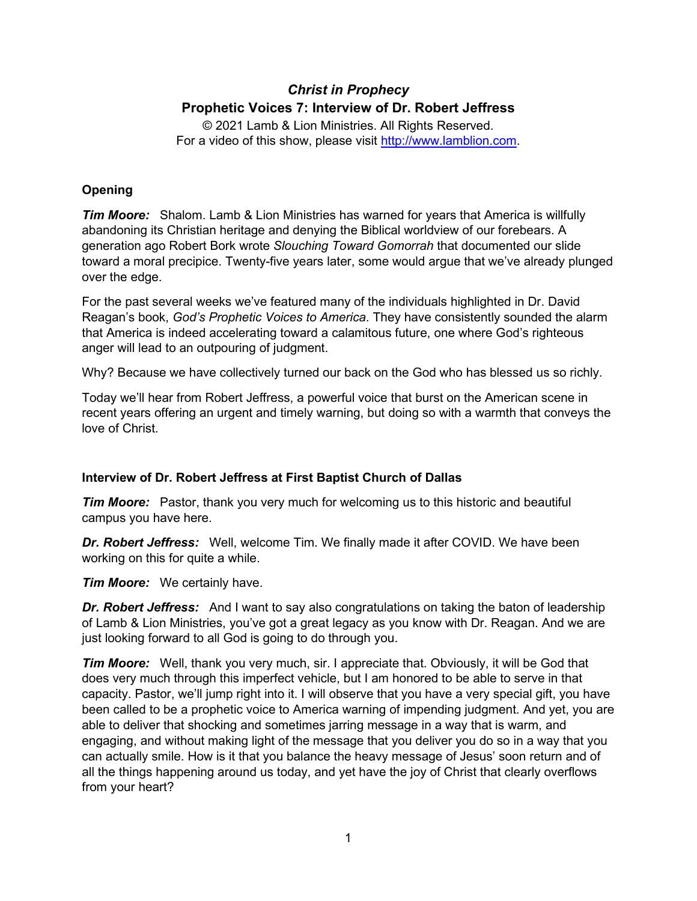# *Christ in Prophecy* **Prophetic Voices 7: Interview of Dr. Robert Jeffress**

© 2021 Lamb & Lion Ministries. All Rights Reserved. For a video of this show, please visit [http://www.lamblion.com.](http://www.lamblion.com/)

## **Opening**

*Tim Moore:* Shalom. Lamb & Lion Ministries has warned for years that America is willfully abandoning its Christian heritage and denying the Biblical worldview of our forebears. A generation ago Robert Bork wrote *Slouching Toward Gomorrah* that documented our slide toward a moral precipice. Twenty-five years later, some would argue that we've already plunged over the edge.

For the past several weeks we've featured many of the individuals highlighted in Dr. David Reagan's book, *God's Prophetic Voices to America*. They have consistently sounded the alarm that America is indeed accelerating toward a calamitous future, one where God's righteous anger will lead to an outpouring of judgment.

Why? Because we have collectively turned our back on the God who has blessed us so richly.

Today we'll hear from Robert Jeffress, a powerful voice that burst on the American scene in recent years offering an urgent and timely warning, but doing so with a warmth that conveys the love of Christ.

## **Interview of Dr. Robert Jeffress at First Baptist Church of Dallas**

*Tim Moore:* Pastor, thank you very much for welcoming us to this historic and beautiful campus you have here.

*Dr. Robert Jeffress:* Well, welcome Tim. We finally made it after COVID. We have been working on this for quite a while.

*Tim Moore:* We certainly have.

*Dr. Robert Jeffress:* And I want to say also congratulations on taking the baton of leadership of Lamb & Lion Ministries, you've got a great legacy as you know with Dr. Reagan. And we are just looking forward to all God is going to do through you.

*Tim Moore:* Well, thank you very much, sir. I appreciate that. Obviously, it will be God that does very much through this imperfect vehicle, but I am honored to be able to serve in that capacity. Pastor, we'll jump right into it. I will observe that you have a very special gift, you have been called to be a prophetic voice to America warning of impending judgment. And yet, you are able to deliver that shocking and sometimes jarring message in a way that is warm, and engaging, and without making light of the message that you deliver you do so in a way that you can actually smile. How is it that you balance the heavy message of Jesus' soon return and of all the things happening around us today, and yet have the joy of Christ that clearly overflows from your heart?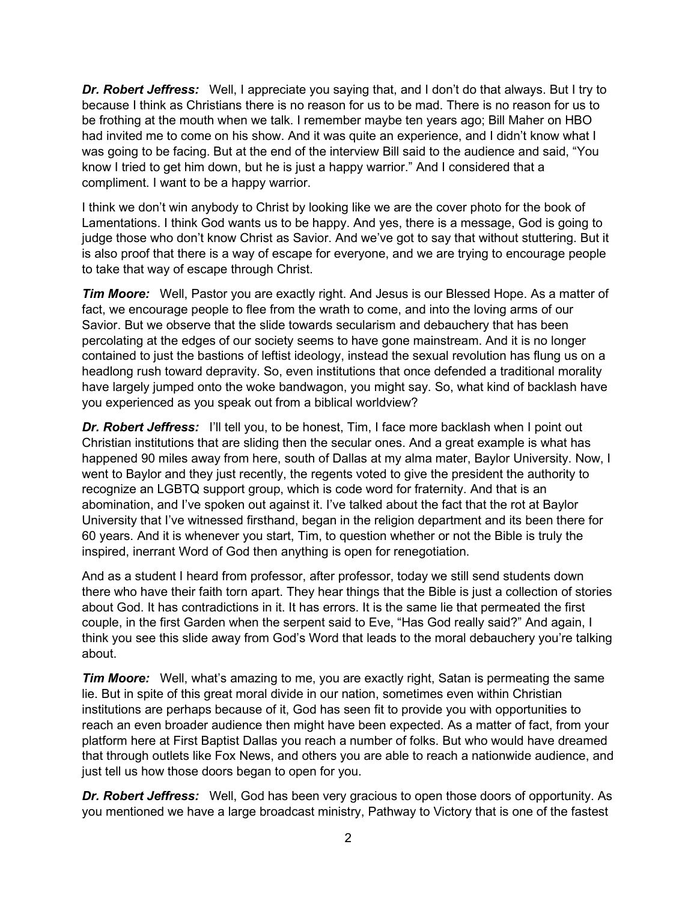*Dr. Robert Jeffress:* Well, I appreciate you saying that, and I don't do that always. But I try to because I think as Christians there is no reason for us to be mad. There is no reason for us to be frothing at the mouth when we talk. I remember maybe ten years ago; Bill Maher on HBO had invited me to come on his show. And it was quite an experience, and I didn't know what I was going to be facing. But at the end of the interview Bill said to the audience and said, "You know I tried to get him down, but he is just a happy warrior." And I considered that a compliment. I want to be a happy warrior.

I think we don't win anybody to Christ by looking like we are the cover photo for the book of Lamentations. I think God wants us to be happy. And yes, there is a message, God is going to judge those who don't know Christ as Savior. And we've got to say that without stuttering. But it is also proof that there is a way of escape for everyone, and we are trying to encourage people to take that way of escape through Christ.

**Tim Moore:** Well, Pastor you are exactly right. And Jesus is our Blessed Hope. As a matter of fact, we encourage people to flee from the wrath to come, and into the loving arms of our Savior. But we observe that the slide towards secularism and debauchery that has been percolating at the edges of our society seems to have gone mainstream. And it is no longer contained to just the bastions of leftist ideology, instead the sexual revolution has flung us on a headlong rush toward depravity. So, even institutions that once defended a traditional morality have largely jumped onto the woke bandwagon, you might say. So, what kind of backlash have you experienced as you speak out from a biblical worldview?

**Dr. Robert Jeffress:** I'll tell you, to be honest, Tim, I face more backlash when I point out Christian institutions that are sliding then the secular ones. And a great example is what has happened 90 miles away from here, south of Dallas at my alma mater, Baylor University. Now, I went to Baylor and they just recently, the regents voted to give the president the authority to recognize an LGBTQ support group, which is code word for fraternity. And that is an abomination, and I've spoken out against it. I've talked about the fact that the rot at Baylor University that I've witnessed firsthand, began in the religion department and its been there for 60 years. And it is whenever you start, Tim, to question whether or not the Bible is truly the inspired, inerrant Word of God then anything is open for renegotiation.

And as a student I heard from professor, after professor, today we still send students down there who have their faith torn apart. They hear things that the Bible is just a collection of stories about God. It has contradictions in it. It has errors. It is the same lie that permeated the first couple, in the first Garden when the serpent said to Eve, "Has God really said?" And again, I think you see this slide away from God's Word that leads to the moral debauchery you're talking about.

*Tim Moore:* Well, what's amazing to me, you are exactly right, Satan is permeating the same lie. But in spite of this great moral divide in our nation, sometimes even within Christian institutions are perhaps because of it, God has seen fit to provide you with opportunities to reach an even broader audience then might have been expected. As a matter of fact, from your platform here at First Baptist Dallas you reach a number of folks. But who would have dreamed that through outlets like Fox News, and others you are able to reach a nationwide audience, and just tell us how those doors began to open for you.

*Dr. Robert Jeffress:* Well, God has been very gracious to open those doors of opportunity. As you mentioned we have a large broadcast ministry, Pathway to Victory that is one of the fastest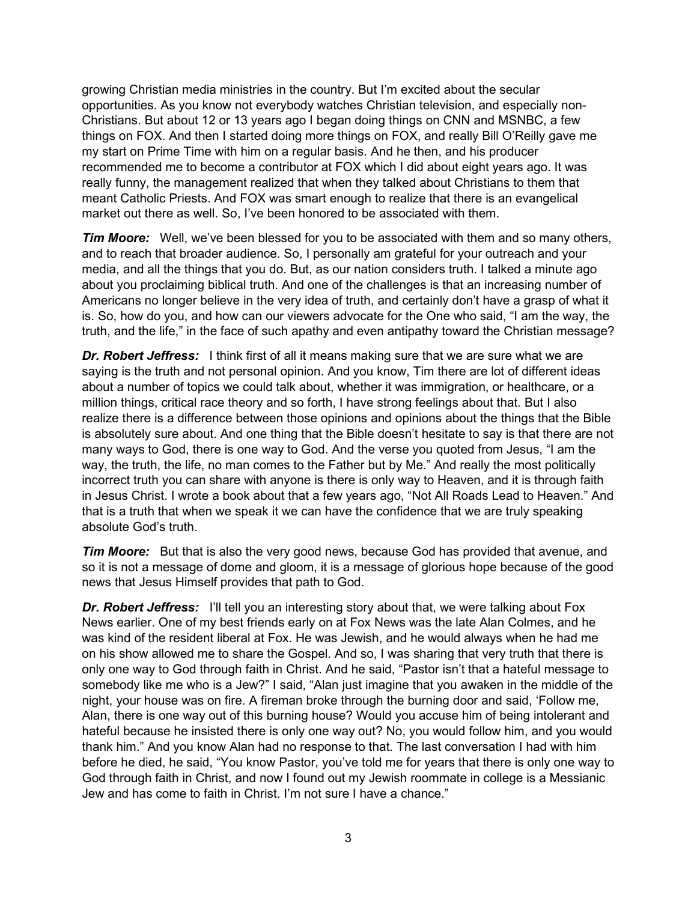growing Christian media ministries in the country. But I'm excited about the secular opportunities. As you know not everybody watches Christian television, and especially non-Christians. But about 12 or 13 years ago I began doing things on CNN and MSNBC, a few things on FOX. And then I started doing more things on FOX, and really Bill O'Reilly gave me my start on Prime Time with him on a regular basis. And he then, and his producer recommended me to become a contributor at FOX which I did about eight years ago. It was really funny, the management realized that when they talked about Christians to them that meant Catholic Priests. And FOX was smart enough to realize that there is an evangelical market out there as well. So, I've been honored to be associated with them.

*Tim Moore:* Well, we've been blessed for you to be associated with them and so many others, and to reach that broader audience. So, I personally am grateful for your outreach and your media, and all the things that you do. But, as our nation considers truth. I talked a minute ago about you proclaiming biblical truth. And one of the challenges is that an increasing number of Americans no longer believe in the very idea of truth, and certainly don't have a grasp of what it is. So, how do you, and how can our viewers advocate for the One who said, "I am the way, the truth, and the life," in the face of such apathy and even antipathy toward the Christian message?

**Dr. Robert Jeffress:** I think first of all it means making sure that we are sure what we are saying is the truth and not personal opinion. And you know, Tim there are lot of different ideas about a number of topics we could talk about, whether it was immigration, or healthcare, or a million things, critical race theory and so forth, I have strong feelings about that. But I also realize there is a difference between those opinions and opinions about the things that the Bible is absolutely sure about. And one thing that the Bible doesn't hesitate to say is that there are not many ways to God, there is one way to God. And the verse you quoted from Jesus, "I am the way, the truth, the life, no man comes to the Father but by Me." And really the most politically incorrect truth you can share with anyone is there is only way to Heaven, and it is through faith in Jesus Christ. I wrote a book about that a few years ago, "Not All Roads Lead to Heaven." And that is a truth that when we speak it we can have the confidence that we are truly speaking absolute God's truth.

*Tim Moore:* But that is also the very good news, because God has provided that avenue, and so it is not a message of dome and gloom, it is a message of glorious hope because of the good news that Jesus Himself provides that path to God.

**Dr. Robert Jeffress:** I'll tell you an interesting story about that, we were talking about Fox News earlier. One of my best friends early on at Fox News was the late Alan Colmes, and he was kind of the resident liberal at Fox. He was Jewish, and he would always when he had me on his show allowed me to share the Gospel. And so, I was sharing that very truth that there is only one way to God through faith in Christ. And he said, "Pastor isn't that a hateful message to somebody like me who is a Jew?" I said, "Alan just imagine that you awaken in the middle of the night, your house was on fire. A fireman broke through the burning door and said, 'Follow me, Alan, there is one way out of this burning house? Would you accuse him of being intolerant and hateful because he insisted there is only one way out? No, you would follow him, and you would thank him." And you know Alan had no response to that. The last conversation I had with him before he died, he said, "You know Pastor, you've told me for years that there is only one way to God through faith in Christ, and now I found out my Jewish roommate in college is a Messianic Jew and has come to faith in Christ. I'm not sure I have a chance."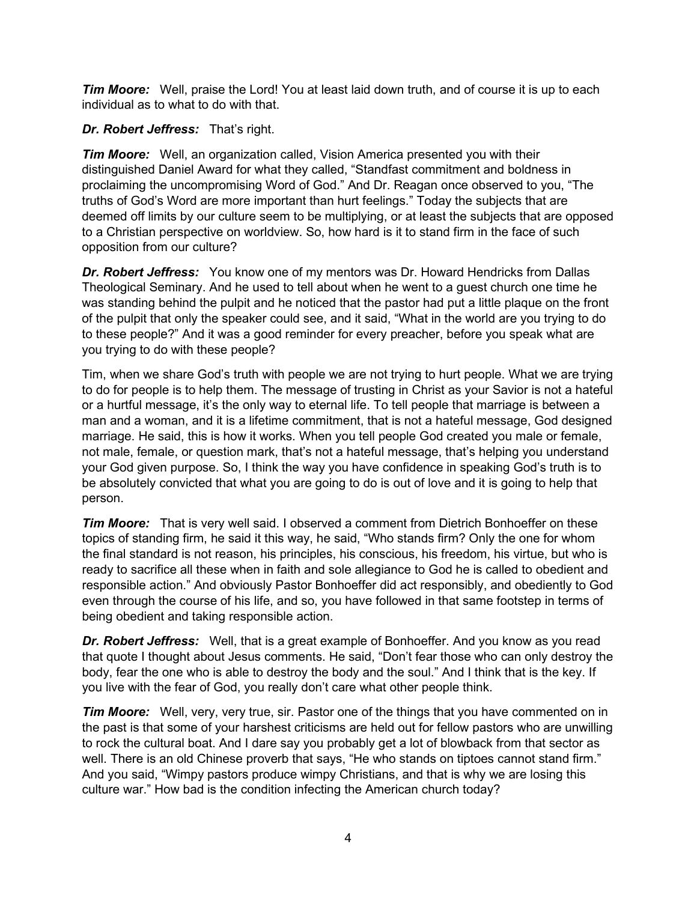*Tim Moore:* Well, praise the Lord! You at least laid down truth, and of course it is up to each individual as to what to do with that.

## *Dr. Robert Jeffress:* That's right.

*Tim Moore:* Well, an organization called, Vision America presented you with their distinguished Daniel Award for what they called, "Standfast commitment and boldness in proclaiming the uncompromising Word of God." And Dr. Reagan once observed to you, "The truths of God's Word are more important than hurt feelings." Today the subjects that are deemed off limits by our culture seem to be multiplying, or at least the subjects that are opposed to a Christian perspective on worldview. So, how hard is it to stand firm in the face of such opposition from our culture?

*Dr. Robert Jeffress:* You know one of my mentors was Dr. Howard Hendricks from Dallas Theological Seminary. And he used to tell about when he went to a guest church one time he was standing behind the pulpit and he noticed that the pastor had put a little plaque on the front of the pulpit that only the speaker could see, and it said, "What in the world are you trying to do to these people?" And it was a good reminder for every preacher, before you speak what are you trying to do with these people?

Tim, when we share God's truth with people we are not trying to hurt people. What we are trying to do for people is to help them. The message of trusting in Christ as your Savior is not a hateful or a hurtful message, it's the only way to eternal life. To tell people that marriage is between a man and a woman, and it is a lifetime commitment, that is not a hateful message, God designed marriage. He said, this is how it works. When you tell people God created you male or female, not male, female, or question mark, that's not a hateful message, that's helping you understand your God given purpose. So, I think the way you have confidence in speaking God's truth is to be absolutely convicted that what you are going to do is out of love and it is going to help that person.

*Tim Moore:* That is very well said. I observed a comment from Dietrich Bonhoeffer on these topics of standing firm, he said it this way, he said, "Who stands firm? Only the one for whom the final standard is not reason, his principles, his conscious, his freedom, his virtue, but who is ready to sacrifice all these when in faith and sole allegiance to God he is called to obedient and responsible action." And obviously Pastor Bonhoeffer did act responsibly, and obediently to God even through the course of his life, and so, you have followed in that same footstep in terms of being obedient and taking responsible action.

*Dr. Robert Jeffress:* Well, that is a great example of Bonhoeffer. And you know as you read that quote I thought about Jesus comments. He said, "Don't fear those who can only destroy the body, fear the one who is able to destroy the body and the soul." And I think that is the key. If you live with the fear of God, you really don't care what other people think.

*Tim Moore:* Well, very, very true, sir. Pastor one of the things that you have commented on in the past is that some of your harshest criticisms are held out for fellow pastors who are unwilling to rock the cultural boat. And I dare say you probably get a lot of blowback from that sector as well. There is an old Chinese proverb that says, "He who stands on tiptoes cannot stand firm." And you said, "Wimpy pastors produce wimpy Christians, and that is why we are losing this culture war." How bad is the condition infecting the American church today?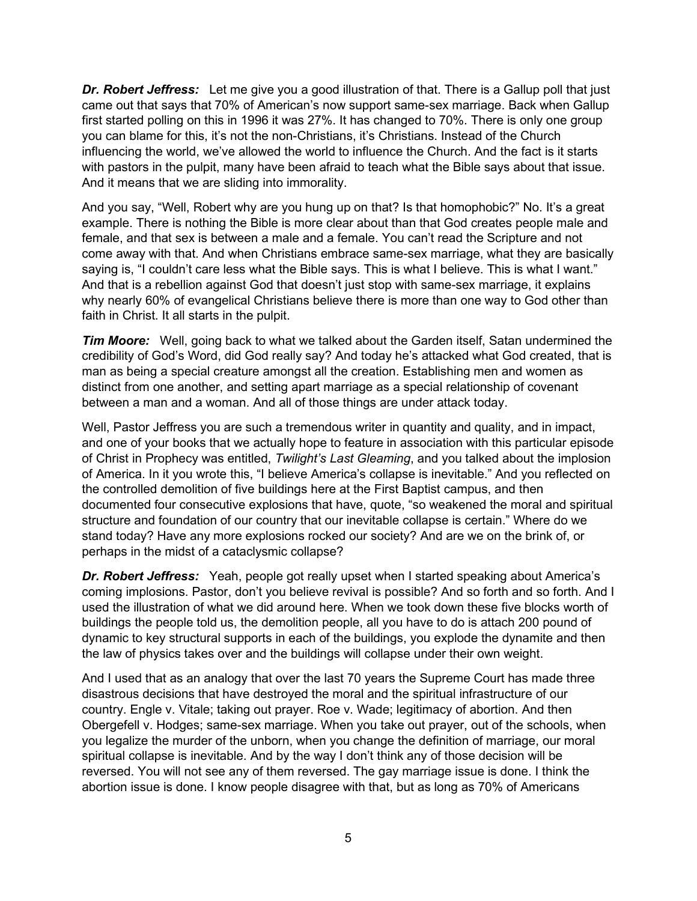*Dr. Robert Jeffress:* Let me give you a good illustration of that. There is a Gallup poll that just came out that says that 70% of American's now support same-sex marriage. Back when Gallup first started polling on this in 1996 it was 27%. It has changed to 70%. There is only one group you can blame for this, it's not the non-Christians, it's Christians. Instead of the Church influencing the world, we've allowed the world to influence the Church. And the fact is it starts with pastors in the pulpit, many have been afraid to teach what the Bible says about that issue. And it means that we are sliding into immorality.

And you say, "Well, Robert why are you hung up on that? Is that homophobic?" No. It's a great example. There is nothing the Bible is more clear about than that God creates people male and female, and that sex is between a male and a female. You can't read the Scripture and not come away with that. And when Christians embrace same-sex marriage, what they are basically saying is, "I couldn't care less what the Bible says. This is what I believe. This is what I want." And that is a rebellion against God that doesn't just stop with same-sex marriage, it explains why nearly 60% of evangelical Christians believe there is more than one way to God other than faith in Christ. It all starts in the pulpit.

*Tim Moore:* Well, going back to what we talked about the Garden itself, Satan undermined the credibility of God's Word, did God really say? And today he's attacked what God created, that is man as being a special creature amongst all the creation. Establishing men and women as distinct from one another, and setting apart marriage as a special relationship of covenant between a man and a woman. And all of those things are under attack today.

Well, Pastor Jeffress you are such a tremendous writer in quantity and quality, and in impact, and one of your books that we actually hope to feature in association with this particular episode of Christ in Prophecy was entitled, *Twilight's Last Gleaming*, and you talked about the implosion of America. In it you wrote this, "I believe America's collapse is inevitable." And you reflected on the controlled demolition of five buildings here at the First Baptist campus, and then documented four consecutive explosions that have, quote, "so weakened the moral and spiritual structure and foundation of our country that our inevitable collapse is certain." Where do we stand today? Have any more explosions rocked our society? And are we on the brink of, or perhaps in the midst of a cataclysmic collapse?

*Dr. Robert Jeffress:* Yeah, people got really upset when I started speaking about America's coming implosions. Pastor, don't you believe revival is possible? And so forth and so forth. And I used the illustration of what we did around here. When we took down these five blocks worth of buildings the people told us, the demolition people, all you have to do is attach 200 pound of dynamic to key structural supports in each of the buildings, you explode the dynamite and then the law of physics takes over and the buildings will collapse under their own weight.

And I used that as an analogy that over the last 70 years the Supreme Court has made three disastrous decisions that have destroyed the moral and the spiritual infrastructure of our country. Engle v. Vitale; taking out prayer. Roe v. Wade; legitimacy of abortion. And then Obergefell v. Hodges; same-sex marriage. When you take out prayer, out of the schools, when you legalize the murder of the unborn, when you change the definition of marriage, our moral spiritual collapse is inevitable. And by the way I don't think any of those decision will be reversed. You will not see any of them reversed. The gay marriage issue is done. I think the abortion issue is done. I know people disagree with that, but as long as 70% of Americans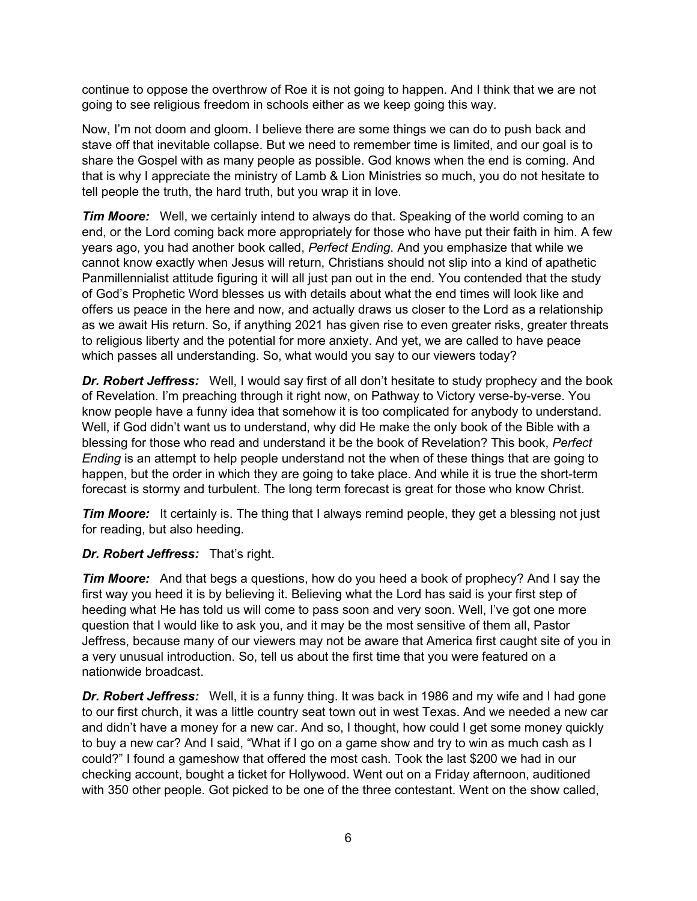continue to oppose the overthrow of Roe it is not going to happen. And I think that we are not going to see religious freedom in schools either as we keep going this way.

Now, I'm not doom and gloom. I believe there are some things we can do to push back and stave off that inevitable collapse. But we need to remember time is limited, and our goal is to share the Gospel with as many people as possible. God knows when the end is coming. And that is why I appreciate the ministry of Lamb & Lion Ministries so much, you do not hesitate to tell people the truth, the hard truth, but you wrap it in love.

*Tim Moore:* Well, we certainly intend to always do that. Speaking of the world coming to an end, or the Lord coming back more appropriately for those who have put their faith in him. A few years ago, you had another book called, *Perfect Ending*. And you emphasize that while we cannot know exactly when Jesus will return, Christians should not slip into a kind of apathetic Panmillennialist attitude figuring it will all just pan out in the end. You contended that the study of God's Prophetic Word blesses us with details about what the end times will look like and offers us peace in the here and now, and actually draws us closer to the Lord as a relationship as we await His return. So, if anything 2021 has given rise to even greater risks, greater threats to religious liberty and the potential for more anxiety. And yet, we are called to have peace which passes all understanding. So, what would you say to our viewers today?

**Dr. Robert Jeffress:** Well, I would say first of all don't hesitate to study prophecy and the book of Revelation. I'm preaching through it right now, on Pathway to Victory verse-by-verse. You know people have a funny idea that somehow it is too complicated for anybody to understand. Well, if God didn't want us to understand, why did He make the only book of the Bible with a blessing for those who read and understand it be the book of Revelation? This book, *Perfect Ending* is an attempt to help people understand not the when of these things that are going to happen, but the order in which they are going to take place. And while it is true the short-term forecast is stormy and turbulent. The long term forecast is great for those who know Christ.

*Tim Moore:* It certainly is. The thing that I always remind people, they get a blessing not just for reading, but also heeding.

### *Dr. Robert Jeffress:* That's right.

*Tim Moore:* And that begs a questions, how do you heed a book of prophecy? And I say the first way you heed it is by believing it. Believing what the Lord has said is your first step of heeding what He has told us will come to pass soon and very soon. Well, I've got one more question that I would like to ask you, and it may be the most sensitive of them all, Pastor Jeffress, because many of our viewers may not be aware that America first caught site of you in a very unusual introduction. So, tell us about the first time that you were featured on a nationwide broadcast.

*Dr. Robert Jeffress:* Well, it is a funny thing. It was back in 1986 and my wife and I had gone to our first church, it was a little country seat town out in west Texas. And we needed a new car and didn't have a money for a new car. And so, I thought, how could I get some money quickly to buy a new car? And I said, "What if I go on a game show and try to win as much cash as I could?" I found a gameshow that offered the most cash. Took the last \$200 we had in our checking account, bought a ticket for Hollywood. Went out on a Friday afternoon, auditioned with 350 other people. Got picked to be one of the three contestant. Went on the show called,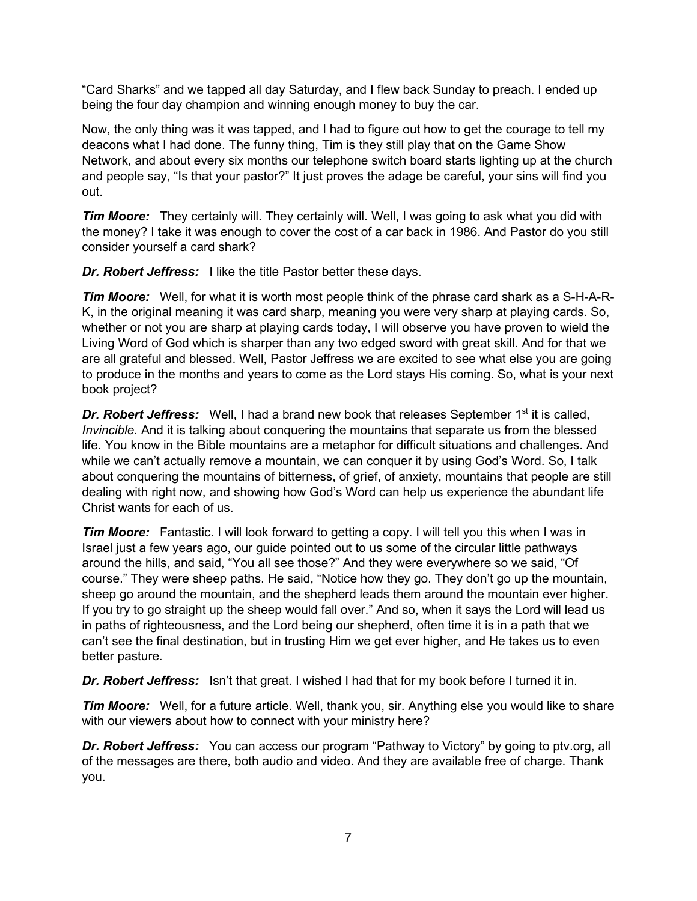"Card Sharks" and we tapped all day Saturday, and I flew back Sunday to preach. I ended up being the four day champion and winning enough money to buy the car.

Now, the only thing was it was tapped, and I had to figure out how to get the courage to tell my deacons what I had done. The funny thing, Tim is they still play that on the Game Show Network, and about every six months our telephone switch board starts lighting up at the church and people say, "Is that your pastor?" It just proves the adage be careful, your sins will find you out.

*Tim Moore:* They certainly will. They certainly will. Well, I was going to ask what you did with the money? I take it was enough to cover the cost of a car back in 1986. And Pastor do you still consider yourself a card shark?

**Dr. Robert Jeffress:** I like the title Pastor better these days.

*Tim Moore:* Well, for what it is worth most people think of the phrase card shark as a S-H-A-R-K, in the original meaning it was card sharp, meaning you were very sharp at playing cards. So, whether or not you are sharp at playing cards today, I will observe you have proven to wield the Living Word of God which is sharper than any two edged sword with great skill. And for that we are all grateful and blessed. Well, Pastor Jeffress we are excited to see what else you are going to produce in the months and years to come as the Lord stays His coming. So, what is your next book project?

**Dr. Robert Jeffress:** Well, I had a brand new book that releases September 1<sup>st</sup> it is called, *Invincible*. And it is talking about conquering the mountains that separate us from the blessed life. You know in the Bible mountains are a metaphor for difficult situations and challenges. And while we can't actually remove a mountain, we can conquer it by using God's Word. So, I talk about conquering the mountains of bitterness, of grief, of anxiety, mountains that people are still dealing with right now, and showing how God's Word can help us experience the abundant life Christ wants for each of us.

*Tim Moore:* Fantastic. I will look forward to getting a copy. I will tell you this when I was in Israel just a few years ago, our guide pointed out to us some of the circular little pathways around the hills, and said, "You all see those?" And they were everywhere so we said, "Of course." They were sheep paths. He said, "Notice how they go. They don't go up the mountain, sheep go around the mountain, and the shepherd leads them around the mountain ever higher. If you try to go straight up the sheep would fall over." And so, when it says the Lord will lead us in paths of righteousness, and the Lord being our shepherd, often time it is in a path that we can't see the final destination, but in trusting Him we get ever higher, and He takes us to even better pasture.

**Dr. Robert Jeffress:** Isn't that great. I wished I had that for my book before I turned it in.

*Tim Moore:* Well, for a future article. Well, thank you, sir. Anything else you would like to share with our viewers about how to connect with your ministry here?

*Dr. Robert Jeffress:* You can access our program "Pathway to Victory" by going to ptv.org, all of the messages are there, both audio and video. And they are available free of charge. Thank you.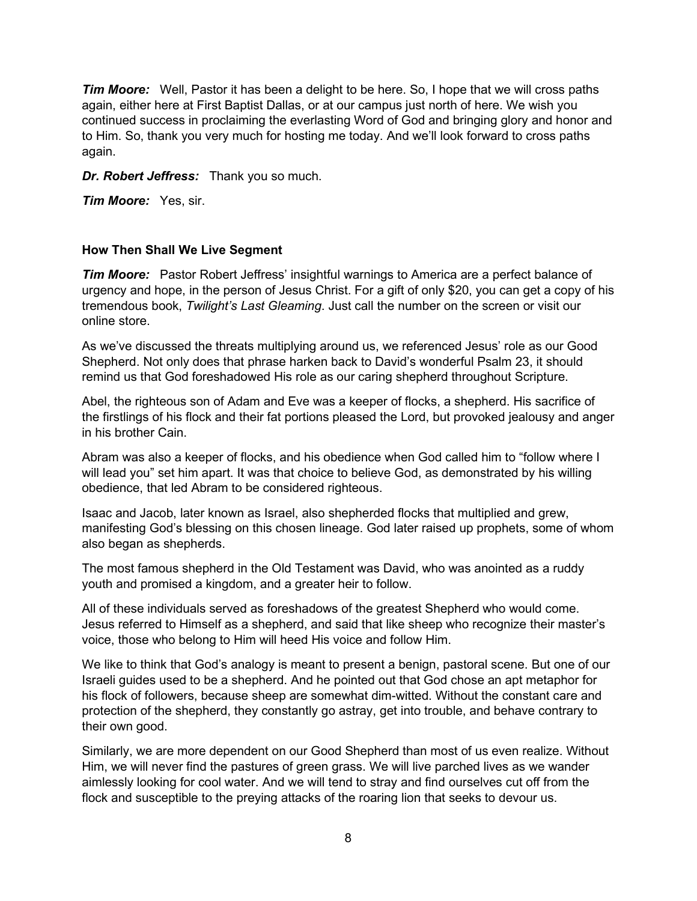*Tim Moore:* Well, Pastor it has been a delight to be here. So, I hope that we will cross paths again, either here at First Baptist Dallas, or at our campus just north of here. We wish you continued success in proclaiming the everlasting Word of God and bringing glory and honor and to Him. So, thank you very much for hosting me today. And we'll look forward to cross paths again.

### *Dr. Robert Jeffress:* Thank you so much.

*Tim Moore:* Yes, sir.

#### **How Then Shall We Live Segment**

**Tim Moore:** Pastor Robert Jeffress' insightful warnings to America are a perfect balance of urgency and hope, in the person of Jesus Christ. For a gift of only \$20, you can get a copy of his tremendous book, *Twilight's Last Gleaming*. Just call the number on the screen or visit our online store.

As we've discussed the threats multiplying around us, we referenced Jesus' role as our Good Shepherd. Not only does that phrase harken back to David's wonderful Psalm 23, it should remind us that God foreshadowed His role as our caring shepherd throughout Scripture.

Abel, the righteous son of Adam and Eve was a keeper of flocks, a shepherd. His sacrifice of the firstlings of his flock and their fat portions pleased the Lord, but provoked jealousy and anger in his brother Cain.

Abram was also a keeper of flocks, and his obedience when God called him to "follow where I will lead you" set him apart. It was that choice to believe God, as demonstrated by his willing obedience, that led Abram to be considered righteous.

Isaac and Jacob, later known as Israel, also shepherded flocks that multiplied and grew, manifesting God's blessing on this chosen lineage. God later raised up prophets, some of whom also began as shepherds.

The most famous shepherd in the Old Testament was David, who was anointed as a ruddy youth and promised a kingdom, and a greater heir to follow.

All of these individuals served as foreshadows of the greatest Shepherd who would come. Jesus referred to Himself as a shepherd, and said that like sheep who recognize their master's voice, those who belong to Him will heed His voice and follow Him.

We like to think that God's analogy is meant to present a benign, pastoral scene. But one of our Israeli guides used to be a shepherd. And he pointed out that God chose an apt metaphor for his flock of followers, because sheep are somewhat dim-witted. Without the constant care and protection of the shepherd, they constantly go astray, get into trouble, and behave contrary to their own good.

Similarly, we are more dependent on our Good Shepherd than most of us even realize. Without Him, we will never find the pastures of green grass. We will live parched lives as we wander aimlessly looking for cool water. And we will tend to stray and find ourselves cut off from the flock and susceptible to the preying attacks of the roaring lion that seeks to devour us.